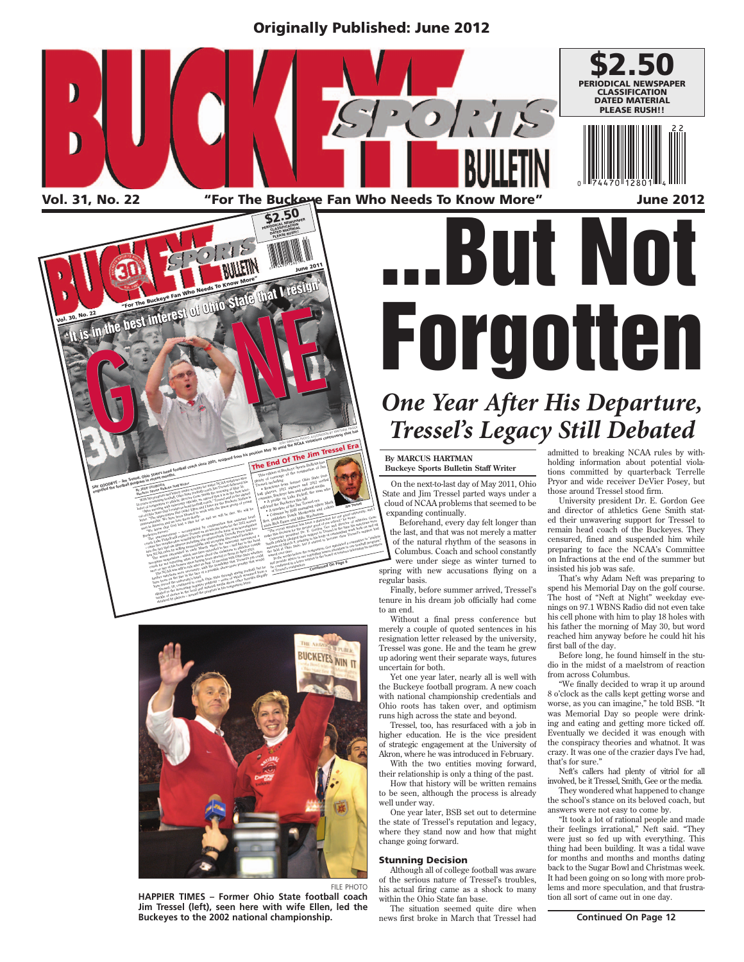Originally Published: June 2012



Vol. 31, No. 22 states the Buckeye Fan Who Needs To Know More" June 2012





**HAPPIER TIMES – Former Ohio State football coach Jim Tressel (left), seen here with wife Ellen, led the Buckeyes to the 2002 national championship.**

# **But Not** Forgotten **One Year After His Departure,**

## *Tressel's Legacy Still Debated ressel's Still Debated*

#### **By MARCUS HARTMAN Buckeye Sports Bulletin Staff Writer**

On the next-to-last day of May 2011, Ohio State and Jim Tressel parted ways under a cloud of NCAA problems that seemed to be expanding continually.

Beforehand, every day felt longer than the last, and that was not merely a matter of the natural rhythm of the seasons in Columbus. Coach and school constantly were under siege as winter turned to spring with new accusations flying on a

regular basis.

Finally, before summer arrived, Tressel's tenure in his dream job officially had come to an end.

Without a final press conference but merely a couple of quoted sentences in his resignation letter released by the university, Tressel was gone. He and the team he grew up adoring went their separate ways, futures uncertain for both.

Yet one year later, nearly all is well with the Buckeye football program. A new coach with national championship credentials and Ohio roots has taken over, and optimism runs high across the state and beyond.

Tressel, too, has resurfaced with a job in higher education. He is the vice president of strategic engagement at the University of Akron, where he was introduced in February.

With the two entities moving forward, their relationship is only a thing of the past. How that history will be written remains

to be seen, although the process is already well under way.

One year later, BSB set out to determine the state of Tressel's reputation and legacy, where they stand now and how that might change going forward.

#### Stunning Decision

Although all of college football was aware of the serious nature of Tressel's troubles, his actual firing came as a shock to many within the Ohio State fan base.

The situation seemed quite dire when news first broke in March that Tressel had admitted to breaking NCAA rules by withholding information about potential violations committed by quarterback Terrelle Pryor and wide receiver DeVier Posey, but those around Tressel stood firm.

University president Dr. E. Gordon Gee and director of athletics Gene Smith stated their unwavering support for Tressel to remain head coach of the Buckeyes. They censured, fined and suspended him while preparing to face the NCAA's Committee on Infractions at the end of the summer but insisted his job was safe.

That's why Adam Neft was preparing to spend his Memorial Day on the golf course. The host of "Neft at Night" weekday evenings on 97.1 WBNS Radio did not even take his cell phone with him to play 18 holes with his father the morning of May 30, but word reached him anyway before he could hit his first ball of the day.

Before long, he found himself in the studio in the midst of a maelstrom of reaction from across Columbus.

"We finally decided to wrap it up around 8 o'clock as the calls kept getting worse and worse, as you can imagine," he told BSB. "It was Memorial Day so people were drinking and eating and getting more ticked off. Eventually we decided it was enough with the conspiracy theories and whatnot. It was crazy. It was one of the crazier days I've had, that's for sure."

Neft's callers had plenty of vitriol for all involved, be it Tressel, Smith, Gee or the media.

They wondered what happened to change the school's stance on its beloved coach, but answers were not easy to come by.

"It took a lot of rational people and made their feelings irrational," Neft said. "They were just so fed up with everything. This thing had been building. It was a tidal wave for months and months and months dating back to the Sugar Bowl and Christmas week. It had been going on so long with more problems and more speculation, and that frustration all sort of came out in one day.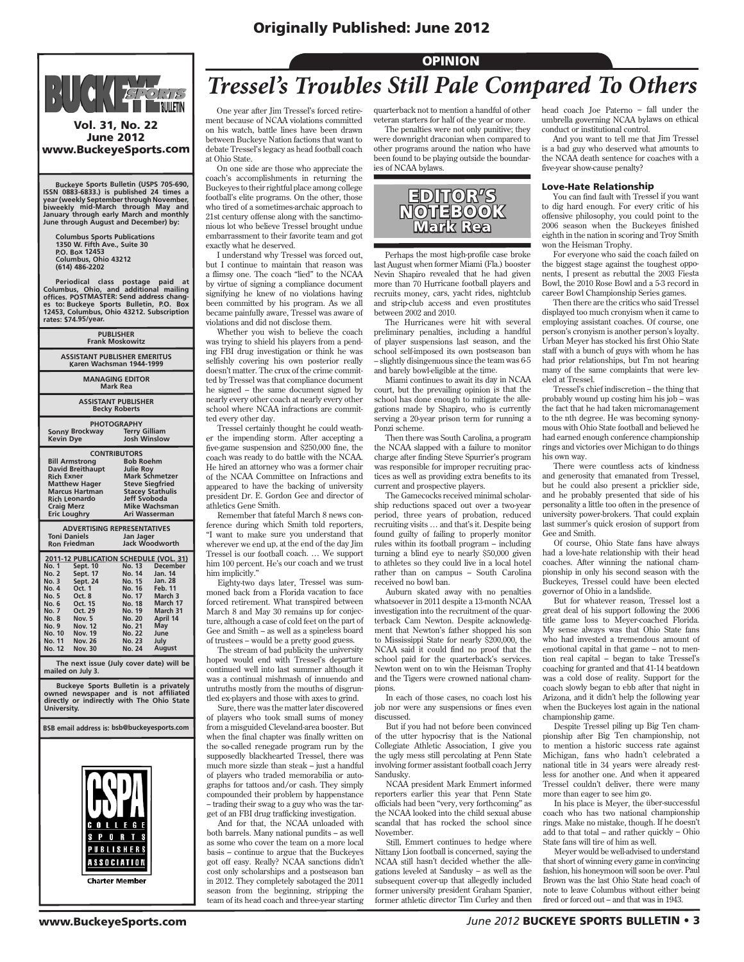#### Originally Published: June 2012



Vol. 31, No. 22 June 2012 www.BuckeyeSports.com

Buckeye Sports Bulletin (USPS 705-690,<br>ISSN 0883-6833.) is published 24 times a<br>year (weekly September through November,<br>biweekly mid-March through May and<br>January through early March and monthly **June through August and December) by:**

 **Columbus Sports Publications 1350 W. Fifth Ave., Suite 30 P.O. Box 12453 Columbus, Ohio 43212 (614) 486-2202**

Periodical class postage paid at<br>Columbus, Ohio, and additional mailing<br>offices. POSTMASTER: Send address chang-<br>es to: Buckeye Sports Bulletin, P.O. Box<br>12453, Columbus, Ohio 43212. Subscription **rates: \$74.95/year.**

| <b>PUBLISHER</b><br><b>Frank Moskowitz</b>                                                                                                                                                                        |                                                                                                                                                                             |  |  |
|-------------------------------------------------------------------------------------------------------------------------------------------------------------------------------------------------------------------|-----------------------------------------------------------------------------------------------------------------------------------------------------------------------------|--|--|
| <b>ASSISTANT PUBLISHER EMERITUS</b><br>Karen Wachsman 1944-1999                                                                                                                                                   |                                                                                                                                                                             |  |  |
| <b>MANAGING EDITOR</b><br><b>Mark Rea</b>                                                                                                                                                                         |                                                                                                                                                                             |  |  |
| <b>ASSISTANT PUBLISHER</b><br><b>Becky Roberts</b>                                                                                                                                                                |                                                                                                                                                                             |  |  |
| <b>PHOTOGRAPHY</b><br>Sonny Brockway<br><b>Kevin Dye</b>                                                                                                                                                          | <b>Terry Gilliam</b><br>Josh Winslow                                                                                                                                        |  |  |
| <b>CONTRIBUTORS</b><br><b>Bill Armstrong</b><br><b>David Breithaupt</b><br><b>Rich Exner</b><br><b>Matthew Hager</b><br><b>Marcus Hartman</b><br><b>Rich Leonardo</b><br><b>Craig Merz</b><br><b>Eric Loughry</b> | <b>Bob Roehm</b><br><b>Julie Roy</b><br><b>Mark Schmetzer</b><br><b>Steve Siegfried</b><br><b>Stacey Stathulis</b><br>Jeff Svoboda<br><b>Mike Wachsman</b><br>Ari Wasserman |  |  |
| <b>ADVERTISING REPRESENTATIVES</b><br><b>Toni Daniels</b><br>Jan Jager<br>Jack Woodworth<br><b>Ron Friedman</b>                                                                                                   |                                                                                                                                                                             |  |  |
| 2011-12 PUBLICATION SCHEDULE (VOL. 31)<br><b>No. 1</b><br>Sept. 10                                                                                                                                                | No. 13 December                                                                                                                                                             |  |  |

| IVO. I       | sept. IV       | 140. IJ       | DECENNER       |
|--------------|----------------|---------------|----------------|
| <b>No. 2</b> | Sept. 17       | No. 14        | <b>Jan. 14</b> |
| No. 3        | Sept. 24       | No. 15        | <b>Jan. 28</b> |
| No. 4        | Oct. 1         | No. 16        | <b>Feb. 11</b> |
| No. 5        | Oct. 8         | No. 17        | March 3        |
| No. 6        | Oct. 15        | No. 18        | March 17       |
| <b>No. 7</b> | Oct. 29        | No. 19        | March 31       |
| No. 8        | Nov. 5         | No. 20        | April 14       |
| No. 9        | <b>Nov. 12</b> | No. 21        | May            |
| No. 10       | Nov. 19        | <b>No. 22</b> | June           |
| No. 11       | <b>Nov. 26</b> | No. 23        | July           |
| No. 12       | <b>Nov. 30</b> | No. 24        | August         |
|              |                |               |                |

 **The next issue (July cover date) will be mailed on July 3.**

 **Buckeye Sports Bulletin is a privately owned newspaper and is not affiliated directly or indirectly with The Ohio State University.**

**BSB email address is: bsb@buckeyesports.com**



#### OPINION *Tressel's Troubles Still Pale Compared To Others*

One year after Jim Tressel's forced retirement because of NCAA violations committed on his watch, battle lines have been drawn between Buckeye Nation factions that want to debate Tressel's legacy as head football coach at Ohio State.

On one side are those who appreciate the coach's accomplishments in returning the Buckeyes to their rightful place among college football's elite programs. On the other, those who tired of a sometimes-archaic approach to 21st century offense along with the sanctimonious lot who believe Tressel brought undue embarrassment to their favorite team and got exactly what he deserved.

I understand why Tressel was forced out, but I continue to maintain that reason was a flimsy one. The coach "lied" to the NCAA by virtue of signing a compliance document signifying he knew of no violations having been committed by his program. As we all became painfully aware, Tressel was aware of violations and did not disclose them.

Whether you wish to believe the coach was trying to shield his players from a pending FBI drug investigation or think he was selfishly covering his own posterior really doesn't matter. The crux of the crime committed by Tressel was that compliance document he signed – the same document signed by nearly every other coach at nearly every other school where NCAA infractions are committed every other day.

Tressel certainly thought he could weather the impending storm. After accepting a five-game suspension and \$250,000 fine, the coach was ready to do battle with the NCAA. He hired an attorney who was a former chair of the NCAA Committee on Infractions and appeared to have the backing of university president Dr. E. Gordon Gee and director of athletics Gene Smith.

Remember that fateful March 8 news conference during which Smith told reporters, "I want to make sure you understand that wherever we end up, at the end of the day Jim Tressel is our football coach. … We support him 100 percent. He's our coach and we trust him implicitly.'

Eighty-two days later, Tressel was summoned back from a Florida vacation to face forced retirement. What transpired between March 8 and May 30 remains up for conjecture, although a case of cold feet on the part of Gee and Smith – as well as a spineless board of trustees – would be a pretty good guess.

The stream of bad publicity the university hoped would end with Tressel's departure continued well into last summer although it was a continual mishmash of innuendo and untruths mostly from the mouths of disgruntled ex-players and those with axes to grind.

Sure, there was the matter later discovered of players who took small sums of money from a misguided Cleveland-area booster. But when the final chapter was finally written on the so-called renegade program run by the supposedly blackhearted Tressel, there was much more sizzle than steak – just a handful of players who traded memorabilia or autographs for tattoos and/or cash. They simply compounded their problem by happenstance – trading their swag to a guy who was the target of an FBI drug trafficking investigation.

And for that, the NCAA unloaded with both barrels. Many national pundits – as well as some who cover the team on a more local basis – continue to argue that the Buckeyes got off easy. Really? NCAA sanctions didn't cost only scholarships and a postseason ban in 2012. They completely sabotaged the 2011 season from the beginning, stripping the team of its head coach and three-year starting

quarterback not to mention a handful of other veteran starters for half of the year or more.

The penalties were not only punitive; they were downright draconian when compared to other programs around the nation who have been found to be playing outside the boundaries of NCAA bylaws.



Perhaps the most high-profile case broke last August when former Miami (Fla.) booster Nevin Shapiro revealed that he had given more than 70 Hurricane football players and recruits money, cars, yacht rides, nightclub and strip-club access and even prostitutes between 2002 and 2010.

The Hurricanes were hit with several preliminary penalties, including a handful of player suspensions last season, and the school self-imposed its own postseason ban – slightly disingenuous since the team was 6-5 and barely bowl-eligible at the time.

Miami continues to await its day in NCAA court, but the prevailing opinion is that the school has done enough to mitigate the allegations made by Shapiro, who is currently serving a 20-year prison term for running a Ponzi scheme.

Then there was South Carolina, a program the NCAA slapped with a failure to monitor charge after finding Steve Spurrier's program was responsible for improper recruiting practices as well as providing extra benefits to its current and prospective players.

The Gamecocks received minimal scholarship reductions spaced out over a two-year period, three years of probation, reduced recruiting visits … and that's it. Despite being found guilty of failing to properly monitor rules within its football program – including turning a blind eye to nearly \$50,000 given to athletes so they could live in a local hotel rather than on campus – South Carolina received no bowl ban.

Auburn skated away with no penalties whatsoever in 2011 despite a 13-month NCAA investigation into the recruitment of the quarterback Cam Newton. Despite acknowledgment that Newton's father shopped his son to Mississippi State for nearly \$200,000, the NCAA said it could find no proof that the school paid for the quarterback's services. Newton went on to win the Heisman Trophy and the Tigers were crowned national champions.

In each of those cases, no coach lost his job nor were any suspensions or fines even discussed.

But if you had not before been convinced of the utter hypocrisy that is the National Collegiate Athletic Association, I give you the ugly mess still percolating at Penn State involving former assistant football coach Jerry Sandusky.

NCAA president Mark Emmert informed reporters earlier this year that Penn State officials had been "very, very forthcoming" as the NCAA looked into the child sexual abuse scandal that has rocked the school since November.

Still, Emmert continues to hedge where Nittany Lion football is concerned, saying the NCAA still hasn't decided whether the allegations leveled at Sandusky – as well as the subsequent cover-up that allegedly included former university president Graham Spanier, former athletic director Tim Curley and then head coach Joe Paterno – fall under the umbrella governing NCAA bylaws on ethical conduct or institutional control.

And you want to tell me that Jim Tressel is a bad guy who deserved what amounts to the NCAA death sentence for coaches with a five-year show-cause penalty?

#### Love-Hate Relationship

You can find fault with Tressel if you want to dig hard enough. For every critic of his offensive philosophy, you could point to the 2006 season when the Buckeyes finished eighth in the nation in scoring and Troy Smith won the Heisman Trophy.

For everyone who said the coach failed on the biggest stage against the toughest opponents, I present as rebuttal the 2003 Fiesta Bowl, the 2010 Rose Bowl and a 5-3 record in career Bowl Championship Series games.

Then there are the critics who said Tressel displayed too much cronyism when it came to employing assistant coaches. Of course, one person's cronyism is another person's loyalty. Urban Meyer has stocked his first Ohio State staff with a bunch of guys with whom he has had prior relationships, but I'm not hearing many of the same complaints that were leveled at Tressel.

Tressel's chief indiscretion – the thing that probably wound up costing him his job – was the fact that he had taken micromanagement to the nth degree. He was becoming synonymous with Ohio State football and believed he had earned enough conference championship rings and victories over Michigan to do things his own way.

There were countless acts of kindness and generosity that emanated from Tressel, but he could also present a pricklier side, and he probably presented that side of his personality a little too often in the presence of university power-brokers. That could explain last summer's quick erosion of support from Gee and Smith.

Of course, Ohio State fans have always had a love-hate relationship with their head coaches. After winning the national championship in only his second season with the Buckeyes, Tressel could have been elected governor of Ohio in a landslide.

But for whatever reason, Tressel lost a great deal of his support following the 2006 title game loss to Meyer-coached Florida. My sense always was that Ohio State fans who had invested a tremendous amount of emotional capital in that game – not to mention real capital – began to take Tressel's coaching for granted and that 41-14 beatdown was a cold dose of reality. Support for the coach slowly began to ebb after that night in Arizona, and it didn't help the following year when the Buckeyes lost again in the national championship game.

Despite Tressel piling up Big Ten championship after Big Ten championship, not to mention a historic success rate against Michigan, fans who hadn't celebrated a national title in 34 years were already restless for another one. And when it appeared Tressel couldn't deliver, there were many more than eager to see him go.

In his place is Meyer, the über-successful coach who has two national championship rings. Make no mistake, though. If he doesn't add to that total – and rather quickly – Ohio State fans will tire of him as well.

Meyer would be well-advised to understand that short of winning every game in convincing fashion, his honeymoon will soon be over. Paul Brown was the last Ohio State head coach of note to leave Columbus without either being fired or forced out – and that was in 1943.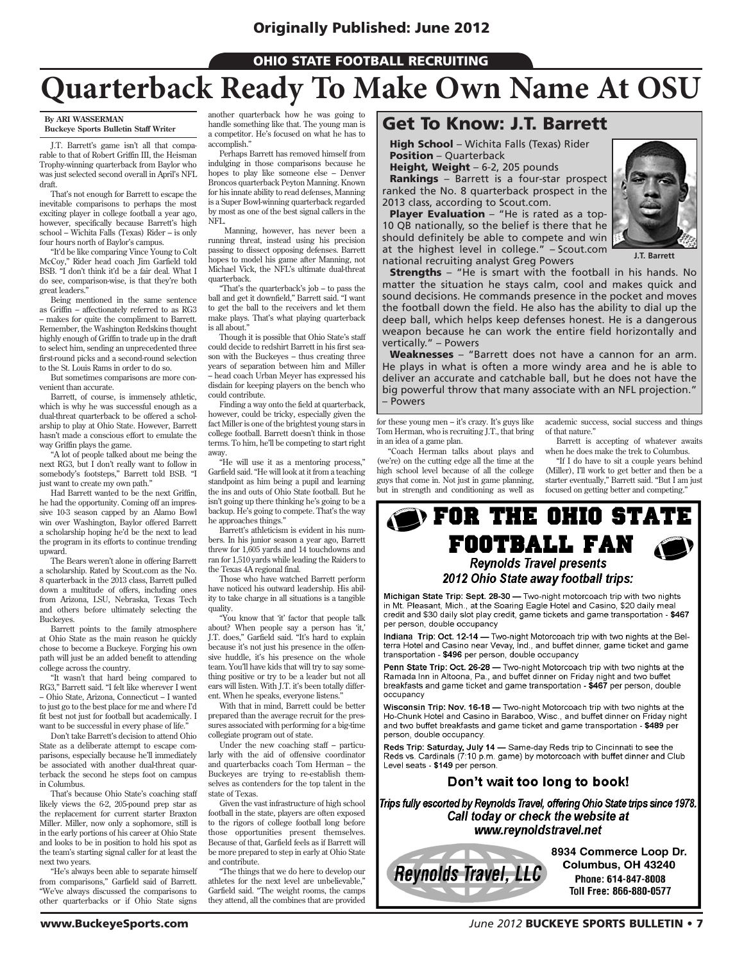**OHIO STATE FOOTBALL RECRUITING** 

## **Quarterback Ready To Make Own Name At OSU**

#### **By ARI WASSERMAN Buckeye Sports Bulletin Staff Writer**

J.T. Barrett's game isn't all that comparable to that of Robert Griffin III, the Heisman Trophy-winning quarterback from Baylor who was just selected second overall in April's NFL draft.

That's not enough for Barrett to escape the inevitable comparisons to perhaps the most exciting player in college football a year ago, however, specifically because Barrett's high school – Wichita Falls (Texas) Rider – is only four hours north of Baylor's campus.

"It'd be like comparing Vince Young to Colt McCoy," Rider head coach Jim Garfield told BSB. "I don't think it'd be a fair deal. What I do see, comparison-wise, is that they're both great leaders."

Being mentioned in the same sentence as Griffin – affectionately referred to as RG3 – makes for quite the compliment to Barrett. Remember, the Washington Redskins thought highly enough of Griffin to trade up in the draft to select him, sending an unprecedented three first-round picks and a second-round selection to the St. Louis Rams in order to do so.

But sometimes comparisons are more convenient than accurate.

Barrett, of course, is immensely athletic, which is why he was successful enough as a dual-threat quarterback to be offered a scholarship to play at Ohio State. However, Barrett hasn't made a conscious effort to emulate the way Griffin plays the game.

"A lot of people talked about me being the next RG3, but I don't really want to follow in somebody's footsteps," Barrett told BSB. "I just want to create my own path."

Had Barrett wanted to be the next Griffin, he had the opportunity. Coming off an impressive 10-3 season capped by an Alamo Bowl win over Washington, Baylor offered Barrett a scholarship hoping he'd be the next to lead the program in its efforts to continue trending upward.

The Bears weren't alone in offering Barrett a scholarship. Rated by Scout.com as the No. 8 quarterback in the 2013 class, Barrett pulled down a multitude of offers, including ones from Arizona, LSU, Nebraska, Texas Tech and others before ultimately selecting the Buckeyes.

Barrett points to the family atmosphere at Ohio State as the main reason he quickly chose to become a Buckeye. Forging his own path will just be an added benefit to attending college across the country.

"It wasn't that hard being compared to RG3," Barrett said. "I felt like wherever I went – Ohio State, Arizona, Connecticut – I wanted to just go to the best place for me and where I'd fit best not just for football but academically. I want to be successful in every phase of life.

Don't take Barrett's decision to attend Ohio State as a deliberate attempt to escape comparisons, especially because he'll immediately be associated with another dual-threat quarterback the second he steps foot on campus in Columbus.

That's because Ohio State's coaching staff likely views the 6-2, 205-pound prep star as the replacement for current starter Braxton Miller. Miller, now only a sophomore, still is in the early portions of his career at Ohio State and looks to be in position to hold his spot as the team's starting signal caller for at least the next two years.

"He's always been able to separate himself from comparisons," Garfield said of Barrett. "We've always discussed the comparisons to other quarterbacks or if Ohio State signs

another quarterback how he was going to handle something like that. The young man is a competitor. He's focused on what he has to accomplish."

Perhaps Barrett has removed himself from indulging in those comparisons because he hopes to play like someone else – Denver Broncos quarterback Peyton Manning. Known for his innate ability to read defenses, Manning is a Super Bowl-winning quarterback regarded by most as one of the best signal callers in the NFL.

 Manning, however, has never been a running threat, instead using his precision passing to dissect opposing defenses. Barrett hopes to model his game after Manning, not Michael Vick, the NFL's ultimate dual-threat quarterback.

"That's the quarterback's job – to pass the ball and get it downfield," Barrett said. "I want to get the ball to the receivers and let them make plays. That's what playing quarterback is all about.'

Though it is possible that Ohio State's staff could decide to redshirt Barrett in his first season with the Buckeyes – thus creating three years of separation between him and Miller – head coach Urban Meyer has expressed his disdain for keeping players on the bench who could contribute.

Finding a way onto the field at quarterback, however, could be tricky, especially given the fact Miller is one of the brightest young stars in college football. Barrett doesn't think in those terms. To him, he'll be competing to start right away.

"He will use it as a mentoring process," Garfield said. "He will look at it from a teaching standpoint as him being a pupil and learning the ins and outs of Ohio State football. But he isn't going up there thinking he's going to be a backup. He's going to compete. That's the way he approaches things."

Barrett's athleticism is evident in his numbers. In his junior season a year ago, Barrett threw for 1,605 yards and 14 touchdowns and ran for 1,510 yards while leading the Raiders to the Texas 4A regional final.

Those who have watched Barrett perform have noticed his outward leadership. His ability to take charge in all situations is a tangible quality.

"You know that 'it' factor that people talk about? When people say a person has 'it,' J.T. does," Garfield said. "It's hard to explain because it's not just his presence in the offensive huddle, it's his presence on the whole team. You'll have kids that will try to say something positive or try to be a leader but not all ears will listen. With J.T. it's been totally different. When he speaks, everyone listens."

With that in mind, Barrett could be better prepared than the average recruit for the pressures associated with performing for a big-time collegiate program out of state.

Under the new coaching staff – particularly with the aid of offensive coordinator and quarterbacks coach Tom Herman – the Buckeyes are trying to re-establish themselves as contenders for the top talent in the state of Texas.

Given the vast infrastructure of high school football in the state, players are often exposed to the rigors of college football long before those opportunities present themselves. Because of that, Garfield feels as if Barrett will be more prepared to step in early at Ohio State and contribute.

"The things that we do here to develop our athletes for the next level are unbelievable," Garfield said. "The weight rooms, the camps they attend, all the combines that are provided

#### Get To Know: J.T. Barrett

High School - Wichita Falls (Texas) Rider Position – Quarterback

Height, Weight - 6-2, 205 pounds Rankings – Barrett is a four-star prospect ranked the No. 8 quarterback prospect in the

2013 class, according to Scout.com. Player Evaluation - "He is rated as a top-10 QB nationally, so the belief is there that he should definitely be able to compete and win at the highest level in college." – Scout.com national recruiting analyst Greg Powers



**J.T. Barrett**

**Strengths** – "He is smart with the football in his hands. No matter the situation he stays calm, cool and makes quick and sound decisions. He commands presence in the pocket and moves the football down the field. He also has the ability to dial up the deep ball, which helps keep defenses honest. He is a dangerous weapon because he can work the entire field horizontally and vertically." – Powers

Weaknesses - "Barrett does not have a cannon for an arm. He plays in what is often a more windy area and he is able to deliver an accurate and catchable ball, but he does not have the big powerful throw that many associate with an NFL projection." – Powers

for these young men – it's crazy. It's guys like Tom Herman, who is recruiting J.T., that bring in an idea of a game plan.

"Coach Herman talks about plays and (we're) on the cutting edge all the time at the high school level because of all the college guys that come in. Not just in game planning, but in strength and conditioning as well as

academic success, social success and things of that nature."

Barrett is accepting of whatever awaits when he does make the trek to Columbus.

"If I do have to sit a couple years behind (Miller), I'll work to get better and then be a starter eventually," Barrett said. "But I am just focused on getting better and competing."

#### $\mathbf{\mathcal{D}}$  for the ohio state FOOTBALL FAN **Reynolds Travel presents** 2012 Ohio State away football trips:

Michigan State Trip: Sept. 28-30 - Two-night motorcoach trip with two nights in Mt. Pleasant, Mich., at the Soaring Eagle Hotel and Casino, \$20 daily meal credit and \$30 daily slot play credit, game tickets and game transportation - \$467 per person, double occupancy

Indiana Trip: Oct. 12-14 - Two-night Motorcoach trip with two nights at the Belterra Hotel and Casino near Vevay, Ind., and buffet dinner, game ticket and game transportation - \$496 per person, double occupancy

Penn State Trip: Oct. 26-28 - Two-night Motorcoach trip with two nights at the Ramada Inn in Altoona, Pa., and buffet dinner on Friday night and two buffet breakfasts and game ticket and game transportation - \$467 per person, double occupancy

Wisconsin Trip: Nov. 16-18 - Two-night Motorcoach trip with two nights at the Ho-Chunk Hotel and Casino in Baraboo, Wisc., and buffet dinner on Friday night<br>and two buffet breakfasts and game ticket and game transportation - \$489 per person, double occupancy.

Reds Trip: Saturday, July 14 - Same-day Reds trip to Cincinnati to see the Reds vs. Cardinals (7:10 p.m. game) by motorcoach with buffet dinner and Club Level seats - \$149 per person.

#### Don't wait too long to book!

Trips fully escorted by Reynolds Travel, offering Ohio State trips since 1978. Call today or check the website at www.reynoldstravel.net



8934 Commerce Loop Dr. Columbus, OH 43240 Phone: 614-847-8008 Toll Free: 866-880-0577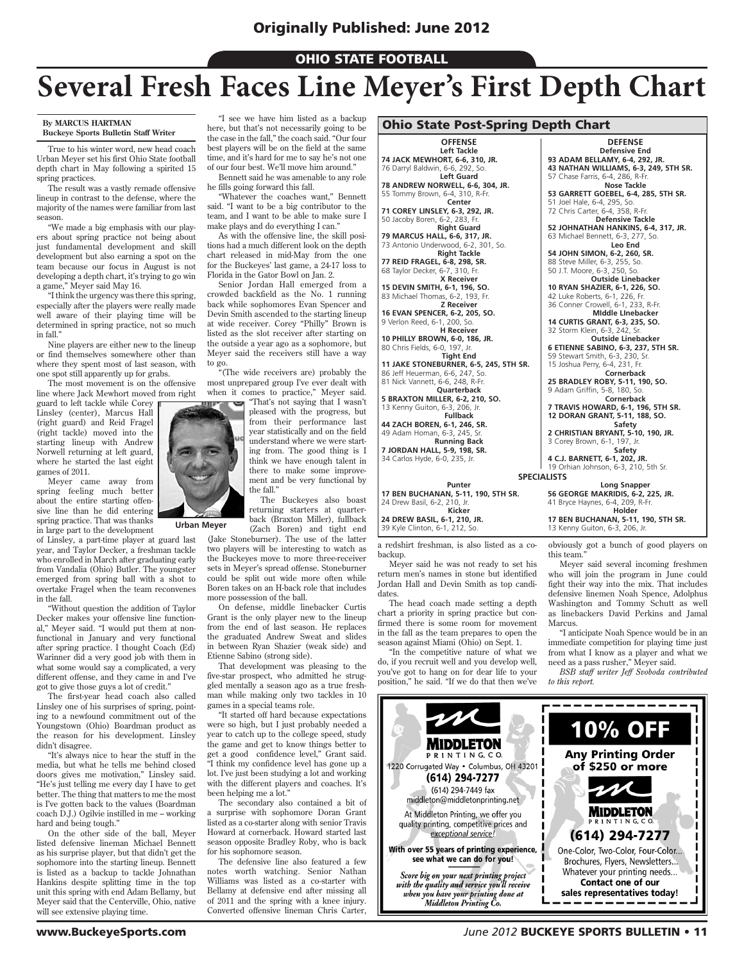#### **OHIO STATE FOOTBALL**

### **Several Fresh Faces Line Meyer's First Depth Chart**

#### **By MARCUS HARTMAN Buckeye Sports Bulletin Staff Writer**

True to his winter word, new head coach Urban Meyer set his first Ohio State football depth chart in May following a spirited 15 spring practices.

The result was a vastly remade offensive lineup in contrast to the defense, where the majority of the names were familiar from last season.

"We made a big emphasis with our players about spring practice not being about just fundamental development and skill development but also earning a spot on the team because our focus in August is not developing a depth chart, it's trying to go win a game," Meyer said May 16.

"I think the urgency was there this spring, especially after the players were really made well aware of their playing time will be determined in spring practice, not so much in fall."

Nine players are either new to the lineup or find themselves somewhere other than where they spent most of last season, with one spot still apparently up for grabs.

The most movement is on the offensive line where Jack Mewhort moved from right

guard to left tackle while Corey Linsley (center), Marcus Hall (right guard) and Reid Fragel (right tackle) moved into the starting lineup with Andrew Norwell returning at left guard, where he started the last eight games of 2011.

Meyer came away from spring feeling much better about the entire starting offensive line than he did entering spring practice. That was thanks in large part to the development

of Linsley, a part-time player at guard last year, and Taylor Decker, a freshman tackle who enrolled in March after graduating early from Vandalia (Ohio) Butler. The youngster emerged from spring ball with a shot to overtake Fragel when the team reconvenes in the fall.

"Without question the addition of Taylor Decker makes your offensive line functional," Meyer said. "I would put them at nonfunctional in January and very functional after spring practice. I thought Coach (Ed) Warinner did a very good job with them in what some would say a complicated, a very different offense, and they came in and I've got to give those guys a lot of credit."

The first-year head coach also called Linsley one of his surprises of spring, pointing to a newfound commitment out of the Youngstown (Ohio) Boardman product as the reason for his development. Linsley didn't disagree.

"It's always nice to hear the stuff in the media, but what he tells me behind closed doors gives me motivation," Linsley said. "He's just telling me every day I have to get better. The thing that matters to me the most is I've gotten back to the values (Boardman coach D.J.) Ogilvie instilled in me – working hard and being tough."

On the other side of the ball, Meyer listed defensive lineman Michael Bennett as his surprise player, but that didn't get the sophomore into the starting lineup. Bennett is listed as a backup to tackle Johnathan Hankins despite splitting time in the top unit this spring with end Adam Bellamy, but Meyer said that the Centerville, Ohio, native will see extensive playing time.

"I see we have him listed as a backup here, but that's not necessarily going to be the case in the fall," the coach said. "Our four best players will be on the field at the same time, and it's hard for me to say he's not one of our four best. We'll move him around."

Bennett said he was amenable to any role he fills going forward this fall.

"Whatever the coaches want," Bennett said. "I want to be a big contributor to the team, and I want to be able to make sure I make plays and do everything I can."

As with the offensive line, the skill positions had a much different look on the depth chart released in mid-May from the one for the Buckeyes' last game, a 24-17 loss to Florida in the Gator Bowl on Jan. 2.

Senior Jordan Hall emerged from a crowded backfield as the No. 1 running back while sophomores Evan Spencer and Devin Smith ascended to the starting lineup at wide receiver. Corey "Philly" Brown is listed as the slot receiver after starting on the outside a year ago as a sophomore, but Meyer said the receivers still have a way to go.

"(The wide receivers are) probably the most unprepared group I've ever dealt with when it comes to practice," Meyer said. "That's not saying that I wasn't



pleased with the progress, but from their performance last year statistically and on the field understand where we were starting from. The good thing is I think we have enough talent in there to make some improvement and be very functional by the fall."

The Buckeyes also boast returning starters at quarterback (Braxton Miller), fullback (Zach Boren) and tight end

(Jake Stoneburner). The use of the latter two players will be interesting to watch as the Buckeyes move to more three-receiver sets in Meyer's spread offense. Stoneburner could be split out wide more often while Boren takes on an H-back role that includes more possession of the ball.

On defense, middle linebacker Curtis Grant is the only player new to the lineup from the end of last season. He replaces the graduated Andrew Sweat and slides in between Ryan Shazier (weak side) and Etienne Sabino (strong side).

That development was pleasing to the five-star prospect, who admitted he struggled mentally a season ago as a true freshman while making only two tackles in 10 games in a special teams role.

"It started off hard because expectations were so high, but I just probably needed a year to catch up to the college speed, study the game and get to know things better to get a good confidence level," Grant said. "I think my confidence level has gone up a lot. I've just been studying a lot and working with the different players and coaches. It's been helping me a lot."

The secondary also contained a bit of a surprise with sophomore Doran Grant listed as a co-starter along with senior Travis Howard at cornerback. Howard started last season opposite Bradley Roby, who is back for his sophomore season.

The defensive line also featured a few notes worth watching. Senior Nathan Williams was listed as a co-starter with Bellamy at defensive end after missing all of 2011 and the spring with a knee injury. Converted offensive lineman Chris Carter,

#### Ohio State Post-Spring Depth Chart

#### **OFFENSE**

**Left Tackle 74 JACK MEWHORT, 6-6, 310, JR.** 76 Darryl Baldwin, 6-6, 292, So. **Left Guard**

**78 ANDREW NORWELL, 6-6, 304, JR.** 55 Tommy Brown, 6-4, 310, R-Fr.

**Center 71 COREY LINSLEY, 6-3, 292, JR.**

50 Jacoby Boren, 6-2, 283, Fr. **Right Guard 79 MARCUS HALL, 6-6, 317, JR.**

73 Antonio Underwood, 6-2, 301, So. **Right Tackle**

**77 REID FRAGEL, 6-8, 298, SR.** 68 Taylor Decker, 6-7, 310, Fr. **X Receiver**

**15 DEVIN SMITH, 6-1, 196, SO.** 83 Michael Thomas, 6-2, 193, Fr.

**Z Receiver 16 EVAN SPENCER, 6-2, 205, SO.**

9 Verlon Reed, 6-1, 200, So. **H Receiver 10 PHILLY BROWN, 6-0, 186, JR.**

80 Chris Fields, 6-0, 197, Jr. **Tight End 11 JAKE STONEBURNER, 6-5, 245, 5TH SR.**

86 Jeff Heuerman, 6-6, 247, So. 81 Nick Vannett, 6-6, 248, R-Fr. **Quarterback**

**5 BRAXTON MILLER, 6-2, 210, SO.** 13 Kenny Guiton, 6-3, 206, Jr. **Fullback**

**44 ZACH BOREN, 6-1, 246, SR.** 49 Adam Homan, 6-3, 245, Sr.

**Running Back<br><b>7 JORDAN HALL, 5-9, 198, SR.**<br>34 Carlos Hyde, 6-0, 235, Jr.

**Punter**

**17 BEN BUCHANAN, 5-11, 190, 5TH SR.** 24 Drew Basil, 6-2, 210, Jr. **Kicker**

**24 DREW BASIL, 6-1, 210, JR.** 39 Kyle Clinton, 6-1, 212, So.

a redshirt freshman, is also listed as a cobackup.

Meyer said he was not ready to set his return men's names in stone but identified Jordan Hall and Devin Smith as top candidates.

The head coach made setting a depth chart a priority in spring practice but confirmed there is some room for movement in the fall as the team prepares to open the season against Miami (Ohio) on Sept. 1.

"In the competitive nature of what we do, if you recruit well and you develop well, you've got to hang on for dear life to your position," he said. "If we do that then we've



**93 ADAM BELLAMY, 6-4, 292, JR. 43 NATHAN WILLIAMS, 6-3, 249, 5TH SR.** 57 Chase Farris, 6-4, 286, R-Fr.

**Nose Tackle 53 GARRETT GOEBEL, 6-4, 285, 5TH SR.** 51 Joel Hale, 6-4, 295, So.

72 Chris Carter, 6-4, 358, R-Fr. **Defensive Tackle**

**52 JOHNATHAN HANKINS, 6-4, 317, JR.** 63 Michael Bennett, 6-3, 277, So. **Leo End**

**54 JOHN SIMON, 6-2, 260, SR.** 88 Steve Miller, 6-3, 255, So. 50 J.T. Moore, 6-3, 250, So. **Outside Linebacker**

**10 RYAN SHAZIER, 6-1, 226, SO.** 42 Luke Roberts, 6-1, 226, Fr. 36 Conner Crowell, 6-1, 233, R-Fr.

**MIddle LInebacker 14 CURTIS GRANT, 6-3, 235, SO.**

32 Storm Klein, 6-3, 242, Sr. **Outside Linebacker**

**6 ETIENNE SABINO, 6-3, 237, 5TH SR.** 59 Stewart Smith, 6-3, 230, Sr. 15 Joshua Perry, 6-4, 231, Fr.

**Cornerback 25 BRADLEY ROBY, 5-11, 190, SO.** 9 Adam Griffin, 5-8, 180, So.

**Cornerback 7 TRAVIS HOWARD, 6-1, 196, 5TH SR. 12 DORAN GRANT, 5-11, 188, SO.**

**Safety 2 CHRISTIAN BRYANT, 5-10, 190, JR.** 3 Corey Brown, 6-1, 197, Jr. **Safety**

**4 C.J. BARNETT, 6-1, 202, JR.** 19 Orhian Johnson, 6-3, 210, 5th Sr. **SPECIALISTS**

**Long Snapper 56 GEORGE MAKRIDIS, 6-2, 225, JR.** 41 Bryce Haynes, 6-4, 209, R-Fr. **Holder 17 BEN BUCHANAN, 5-11, 190, 5TH SR.**

13 Kenny Guiton, 6-3, 206, Jr.

obviously got a bunch of good players on this team.

Meyer said several incoming freshmen who will join the program in June could fight their way into the mix. That includes defensive linemen Noah Spence, Adolphus Washington and Tommy Schutt as well as linebackers David Perkins and Jamal Marcus.

"I anticipate Noah Spence would be in an immediate competition for playing time just from what I know as a player and what we need as a pass rusher," Meyer said.

*BSB staff writer Jeff Svoboda contributed to this report.*

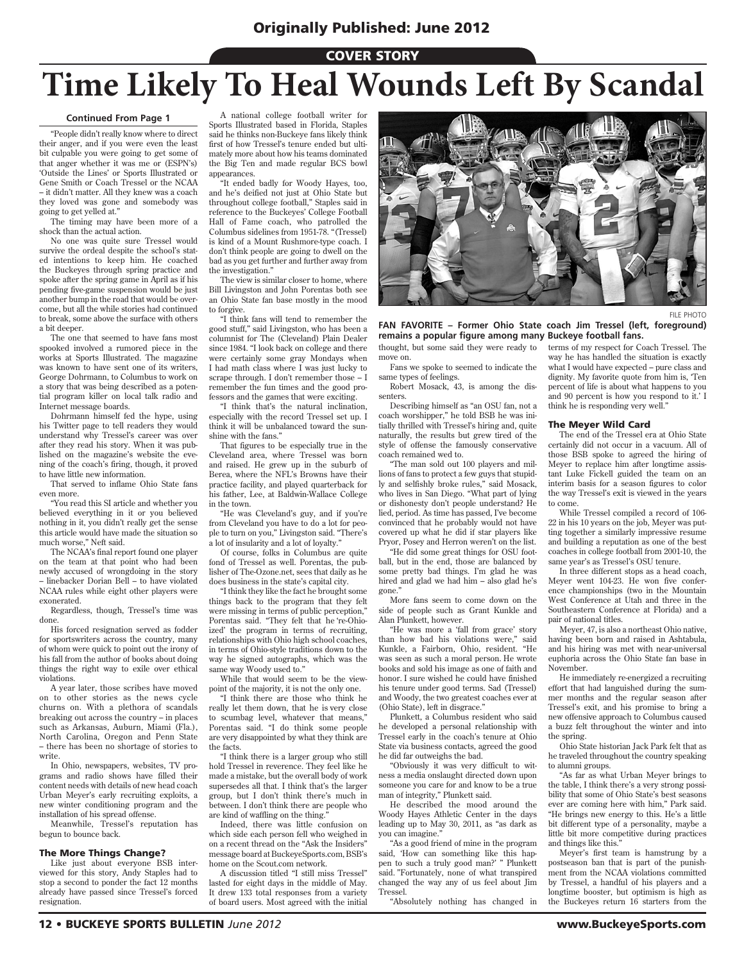#### **COVER STORY**

## **Time Likely To Heal Wounds Left By Scandal**

#### **Continued From Page 1**

"People didn't really know where to direct their anger, and if you were even the least bit culpable you were going to get some of that anger whether it was me or (ESPN's) 'Outside the Lines' or Sports Illustrated or Gene Smith or Coach Tressel or the NCAA – it didn't matter. All they knew was a coach they loved was gone and somebody was going to get yelled at."

The timing may have been more of a shock than the actual action.

No one was quite sure Tressel would survive the ordeal despite the school's stated intentions to keep him. He coached the Buckeyes through spring practice and spoke after the spring game in April as if his pending five-game suspension would be just another bump in the road that would be overcome, but all the while stories had continued to break, some above the surface with others a bit deeper.

The one that seemed to have fans most spooked involved a rumored piece in the works at Sports Illustrated. The magazine was known to have sent one of its writers, George Dohrmann, to Columbus to work on a story that was being described as a potential program killer on local talk radio and Internet message boards.

Dohrmann himself fed the hype, using his Twitter page to tell readers they would understand why Tressel's career was over after they read his story. When it was published on the magazine's website the evening of the coach's firing, though, it proved to have little new information.

That served to inflame Ohio State fans even more.

"You read this SI article and whether you believed everything in it or you believed nothing in it, you didn't really get the sense this article would have made the situation so much worse," Neft said.

The NCAA's final report found one player on the team at that point who had been newly accused of wrongdoing in the story – linebacker Dorian Bell – to have violated NCAA rules while eight other players were exonerated.

Regardless, though, Tressel's time was done.

His forced resignation served as fodder for sportswriters across the country, many of whom were quick to point out the irony of his fall from the author of books about doing things the right way to exile over ethical violations.

A year later, those scribes have moved on to other stories as the news cycle churns on. With a plethora of scandals breaking out across the country – in places such as Arkansas, Auburn, Miami (Fla.), North Carolina, Oregon and Penn State – there has been no shortage of stories to write.

In Ohio, newspapers, websites, TV programs and radio shows have filled their content needs with details of new head coach Urban Meyer's early recruiting exploits, a new winter conditioning program and the installation of his spread offense.

Meanwhile, Tressel's reputation has begun to bounce back.

#### The More Things Change?

Like just about everyone BSB interviewed for this story, Andy Staples had to stop a second to ponder the fact 12 months already have passed since Tressel's forced resignation.

A national college football writer for Sports Illustrated based in Florida, Staples said he thinks non-Buckeye fans likely think first of how Tressel's tenure ended but ultimately more about how his teams dominated the Big Ten and made regular BCS bowl appearances.

"It ended badly for Woody Hayes, too, and he's deified not just at Ohio State but throughout college football," Staples said in reference to the Buckeyes' College Football Hall of Fame coach, who patrolled the Columbus sidelines from 1951-78. "(Tressel) is kind of a Mount Rushmore-type coach. I don't think people are going to dwell on the bad as you get further and further away from the investigation."

The view is similar closer to home, where Bill Livingston and John Porentas both see an Ohio State fan base mostly in the mood to forgive.

"I think fans will tend to remember the good stuff," said Livingston, who has been a columnist for The (Cleveland) Plain Dealer since 1984. "I look back on college and there were certainly some gray Mondays when I had math class where I was just lucky to scrape through. I don't remember those – I remember the fun times and the good professors and the games that were exciting.

"I think that's the natural inclination, especially with the record Tressel set up. I think it will be unbalanced toward the sunshine with the fans."

That figures to be especially true in the Cleveland area, where Tressel was born and raised. He grew up in the suburb of Berea, where the NFL's Browns have their practice facility, and played quarterback for his father, Lee, at Baldwin-Wallace College in the town.

"He was Cleveland's guy, and if you're from Cleveland you have to do a lot for people to turn on you," Livingston said. "There's a lot of insularity and a lot of loyalty."

Of course, folks in Columbus are quite fond of Tressel as well. Porentas, the publisher of The-Ozone net, sees that daily as he does business in the state's capital city.

"I think they like the fact he brought some things back to the program that they felt were missing in terms of public perception," Porentas said. "They felt that he 're-Ohioized' the program in terms of recruiting, relationships with Ohio high school coaches, in terms of Ohio-style traditions down to the way he signed autographs, which was the same way Woody used to."

While that would seem to be the viewpoint of the majority, it is not the only one.

"I think there are those who think he really let them down, that he is very close to scumbag level, whatever that means,' Porentas said. "I do think some people are very disappointed by what they think are the facts.

"I think there is a larger group who still hold Tressel in reverence. They feel like he made a mistake, but the overall body of work supersedes all that. I think that's the larger group, but I don't think there's much in between. I don't think there are people who are kind of waffling on the thing."

Indeed, there was little confusion on which side each person fell who weighed in on a recent thread on the "Ask the Insiders" message board at BuckeyeSports.com, BSB's home on the Scout.com network.

A discussion titled "I still miss Tressel" lasted for eight days in the middle of May. It drew 133 total responses from a variety of board users. Most agreed with the initial



thought, but some said they were ready to move on. **FAN FAVORITE – Former Ohio State coach Jim Tressel (left, foreground) remains a popular figure among many Buckeye football fans.**

Fans we spoke to seemed to indicate the same types of feelings.

Robert Mosack, 43, is among the dissenters.

Describing himself as "an OSU fan, not a coach worshipper," he told BSB he was initially thrilled with Tressel's hiring and, quite naturally, the results but grew tired of the style of offense the famously conservative coach remained wed to.

"The man sold out 100 players and millions of fans to protect a few guys that stupidly and selfishly broke rules," said Mosack, who lives in San Diego. "What part of lying or dishonesty don't people understand? He lied, period. As time has passed, I've become convinced that he probably would not have covered up what he did if star players like Pryor, Posey and Herron weren't on the list.

"He did some great things for OSU football, but in the end, those are balanced by some pretty bad things. I'm glad he was hired and glad we had him – also glad he's gone.

More fans seem to come down on the side of people such as Grant Kunkle and Alan Plunkett, however.

"He was more a 'fall from grace' story than how bad his violations were" said Kunkle, a Fairborn, Ohio, resident. "He was seen as such a moral person. He wrote books and sold his image as one of faith and honor. I sure wished he could have finished his tenure under good terms. Sad (Tressel) and Woody, the two greatest coaches ever at (Ohio State), left in disgrace."

Plunkett, a Columbus resident who said he developed a personal relationship with Tressel early in the coach's tenure at Ohio State via business contacts, agreed the good he did far outweighs the bad.

"Obviously it was very difficult to witness a media onslaught directed down upon someone you care for and know to be a true man of integrity," Plunkett said.

He described the mood around the Woody Hayes Athletic Center in the days leading up to May 30, 2011, as "as dark as you can imagine.'

"As a good friend of mine in the program said, 'How can something like this happen to such a truly good man?' " Plunkett said. "Fortunately, none of what transpired changed the way any of us feel about Jim Tressel.

"Absolutely nothing has changed in

terms of my respect for Coach Tressel. The way he has handled the situation is exactly what I would have expected – pure class and dignity. My favorite quote from him is, 'Ten percent of life is about what happens to you and 90 percent is how you respond to it.' I think he is responding very well."

#### The Meyer Wild Card

The end of the Tressel era at Ohio State certainly did not occur in a vacuum. All of those BSB spoke to agreed the hiring of Meyer to replace him after longtime assistant Luke Fickell guided the team on an interim basis for a season figures to color the way Tressel's exit is viewed in the years to come.

While Tressel compiled a record of 106- 22 in his 10 years on the job, Meyer was putting together a similarly impressive resume and building a reputation as one of the best coaches in college football from 2001-10, the same year's as Tressel's OSU tenure.

In three different stops as a head coach, Meyer went 104-23. He won five conference championships (two in the Mountain West Conference at Utah and three in the Southeastern Conference at Florida) and a pair of national titles.

Meyer, 47, is also a northeast Ohio native, having been born and raised in Ashtabula, and his hiring was met with near-universal euphoria across the Ohio State fan base in November.

He immediately re-energized a recruiting effort that had languished during the summer months and the regular season after Tressel's exit, and his promise to bring a new offensive approach to Columbus caused a buzz felt throughout the winter and into the spring.

Ohio State historian Jack Park felt that as he traveled throughout the country speaking to alumni groups.

"As far as what Urban Meyer brings to the table, I think there's a very strong possibility that some of Ohio State's best seasons ever are coming here with him," Park said. "He brings new energy to this. He's a little bit different type of a personality, maybe a little bit more competitive during practices and things like this."

Meyer's first team is hamstrung by a postseason ban that is part of the punishment from the NCAA violations committed by Tressel, a handful of his players and a longtime booster, but optimism is high as the Buckeyes return 16 starters from the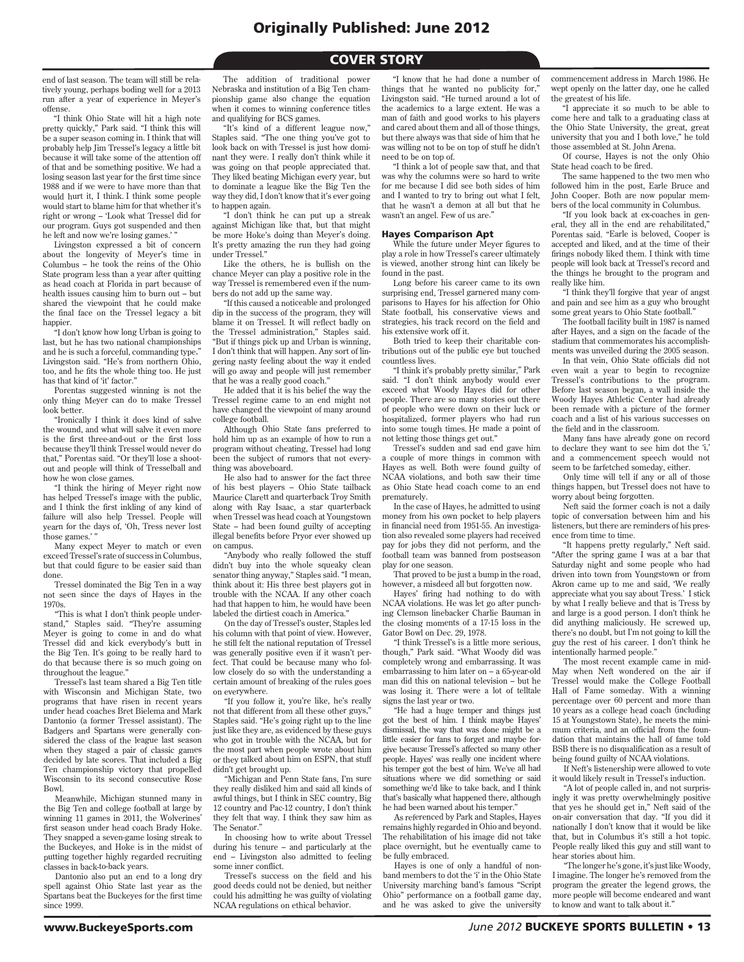#### **COVER STORY**

end of last season. The team will still be relatively young, perhaps boding well for a 2013 run after a year of experience in Meyer's offense.

"I think Ohio State will hit a high note pretty quickly," Park said. "I think this will be a super season coming in. I think that will probably help Jim Tressel's legacy a little bit because it will take some of the attention off of that and be something positive. We had a losing season last year for the first time since 1988 and if we were to have more than that would hurt it, I think. I think some people would start to blame him for that whether it's right or wrong – 'Look what Tressel did for our program. Guys got suspended and then he left and now we're losing games.'

Livingston expressed a bit of concern about the longevity of Meyer's time in Columbus – he took the reins of the Ohio State program less than a year after quitting as head coach at Florida in part because of health issues causing him to burn out – but shared the viewpoint that he could make the final face on the Tressel legacy a bit happier.

"I don't know how long Urban is going to last, but he has two national championships and he is such a forceful, commanding type, Livingston said. "He's from northern Ohio, too, and he fits the whole thing too. He just has that kind of 'it' factor."

Porentas suggested winning is not the only thing Meyer can do to make Tressel look better.

"Ironically I think it does kind of salve the wound, and what will salve it even more is the first three-and-out or the first loss because they'll think Tressel would never do that," Porentas said. "Or they'll lose a shootout and people will think of Tresselball and how he won close games.

"I think the hiring of Meyer right now has helped Tressel's image with the public, and I think the first inkling of any kind of failure will also help Tressel. People will yearn for the days of, 'Oh, Tress never lost those games.' "

Many expect Meyer to match or even exceed Tressel's rate of success in Columbus, but that could figure to be easier said than done.

Tressel dominated the Big Ten in a way not seen since the days of Hayes in the 1970s.

"This is what I don't think people understand," Staples said. "They're assuming Meyer is going to come in and do what Tressel did and kick everybody's butt in the Big Ten. It's going to be really hard to do that because there is so much going on throughout the league."

Tressel's last team shared a Big Ten title with Wisconsin and Michigan State, two programs that have risen in recent years under head coaches Bret Bielema and Mark Dantonio (a former Tressel assistant). The Badgers and Spartans were generally considered the class of the league last season when they staged a pair of classic games decided by late scores. That included a Big Ten championship victory that propelled Wisconsin to its second consecutive Rose Bowl.

Meanwhile, Michigan stunned many in the Big Ten and college football at large by winning 11 games in 2011, the Wolverines' first season under head coach Brady Hoke. They snapped a seven-game losing streak to the Buckeyes, and Hoke is in the midst of putting together highly regarded recruiting classes in back-to-back years.

Dantonio also put an end to a long dry spell against Ohio State last year as the Spartans beat the Buckeyes for the first time since 1999.

The addition of traditional power Nebraska and institution of a Big Ten championship game also change the equation when it comes to winning conference titles and qualifying for BCS games.

"It's kind of a different league now," Staples said. "The one thing you've got to look back on with Tressel is just how dominant they were. I really don't think while it was going on that people appreciated that. They liked beating Michigan every year, but to dominate a league like the Big Ten the way they did, I don't know that it's ever going to happen again.

"I don't think he can put up a streak against Michigan like that, but that might be more Hoke's doing than Meyer's doing. It's pretty amazing the run they had going under Tressel."

Like the others, he is bullish on the chance Meyer can play a positive role in the way Tressel is remembered even if the numbers do not add up the same way.

"If this caused a noticeable and prolonged dip in the success of the program, they will blame it on Tressel. It will reflect badly on the Tressel administration," Staples said. "But if things pick up and Urban is winning, I don't think that will happen. Any sort of lingering nasty feeling about the way it ended will go away and people will just remember that he was a really good coach."

He added that it is his belief the way the Tressel regime came to an end might not have changed the viewpoint of many around college football.

Although Ohio State fans preferred to hold him up as an example of how to run a program without cheating, Tressel had long been the subject of rumors that not everything was aboveboard.

He also had to answer for the fact three of his best players – Ohio State tailback Maurice Clarett and quarterback Troy Smith along with Ray Isaac, a star quarterback when Tressel was head coach at Youngstown State – had been found guilty of accepting illegal benefits before Pryor ever showed up on campus.

"Anybody who really followed the stuff didn't buy into the whole squeaky clean senator thing anyway," Staples said. "I mean, think about it: His three best players got in trouble with the NCAA. If any other coach had that happen to him, he would have been labeled the dirtiest coach in America."

On the day of Tressel's ouster, Staples led his column with that point of view. However, he still felt the national reputation of Tressel was generally positive even if it wasn't perfect. That could be because many who follow closely do so with the understanding a certain amount of breaking of the rules goes on everywhere.

"If you follow it, you're like, he's really not that different from all these other guys, Staples said. "He's going right up to the line just like they are, as evidenced by these guys who got in trouble with the NCAA, but for the most part when people wrote about him or they talked about him on ESPN, that stuff didn't get brought up.

"Michigan and Penn State fans, I'm sure they really disliked him and said all kinds of awful things, but I think in SEC country, Big 12 country and Pac-12 country, I don't think they felt that way. I think they saw him as The Senator."

In choosing how to write about Tressel during his tenure – and particularly at the end – Livingston also admitted to feeling some inner conflict.

Tressel's success on the field and his good deeds could not be denied, but neither could his admitting he was guilty of violating NCAA regulations on ethical behavior.

"I know that he had done a number of things that he wanted no publicity for," Livingston said. "He turned around a lot of the academics to a large extent. He was a man of faith and good works to his players and cared about them and all of those things, but there always was that side of him that he was willing not to be on top of stuff he didn't need to be on top of.

"I think a lot of people saw that, and that was why the columns were so hard to write for me because I did see both sides of him and I wanted to try to bring out what I felt, that he wasn't a demon at all but that he wasn't an angel. Few of us are."

#### Hayes Comparison Apt

While the future under Meyer figures to play a role in how Tressel's career ultimately is viewed, another strong hint can likely be found in the past.

Long before his career came to its own surprising end, Tressel garnered many comparisons to Hayes for his affection for Ohio State football, his conservative views and strategies, his track record on the field and his extensive work off it.

Both tried to keep their charitable contributions out of the public eye but touched countless lives.

"I think it's probably pretty similar," Park said. "I don't think anybody would ever exceed what Woody Hayes did for other people. There are so many stories out there of people who were down on their luck or hospitalized, former players who had run into some tough times. He made a point of not letting those things get out."

Tressel's sudden and sad end gave him a couple of more things in common with Hayes as well. Both were found guilty of NCAA violations, and both saw their time as Ohio State head coach come to an end prematurely.

In the case of Hayes, he admitted to using money from his own pocket to help players in financial need from 1951-55. An investigation also revealed some players had received pay for jobs they did not perform, and the football team was banned from postseason play for one season.

That proved to be just a bump in the road, however, a misdeed all but forgotten now.

Hayes' firing had nothing to do with NCAA violations. He was let go after punching Clemson linebacker Charlie Bauman in the closing moments of a 17-15 loss in the Gator Bowl on Dec. 29, 1978.

"I think Tressel's is a little more serious, though," Park said. "What Woody did was completely wrong and embarrassing. It was embarrassing to him later on – a 65-year-old man did this on national television – but he was losing it. There were a lot of telltale signs the last year or two.

"He had a huge temper and things just got the best of him. I think maybe Hayes' dismissal, the way that was done might be a little easier for fans to forget and maybe forgive because Tressel's affected so many other people. Hayes' was really one incident where his temper got the best of him. We've all had situations where we did something or said something we'd like to take back, and I think that's basically what happened there, although he had been warned about his temper."

As referenced by Park and Staples, Hayes remains highly regarded in Ohio and beyond. The rehabilitation of his image did not take place overnight, but he eventually came to be fully embraced.

Hayes is one of only a handful of nonband members to dot the 'i' in the Ohio State University marching band's famous "Script Ohio" performance on a football game day, and he was asked to give the university commencement address in March 1986. He wept openly on the latter day, one he called the greatest of his life.

"I appreciate it so much to be able to come here and talk to a graduating class at the Ohio State University, the great, great university that you and I both love," he told those assembled at St. John Arena.

Of course, Hayes is not the only Ohio State head coach to be fired.

The same happened to the two men who followed him in the post, Earle Bruce and John Cooper. Both are now popular members of the local community in Columbus.

"If you look back at ex-coaches in general, they all in the end are rehabilitated," Porentas said. "Earle is beloved, Cooper is accepted and liked, and at the time of their firings nobody liked them. I think with time people will look back at Tressel's record and the things he brought to the program and really like him.

"I think they'll forgive that year of angst and pain and see him as a guy who brought some great years to Ohio State football."

The football facility built in 1987 is named after Hayes, and a sign on the facade of the stadium that commemorates his accomplishments was unveiled during the 2005 season.

In that vein, Ohio State officials did not even wait a year to begin to recognize Tressel's contributions to the program. Before last season began, a wall inside the Woody Hayes Athletic Center had already been remade with a picture of the former coach and a list of his various successes on the field and in the classroom.

Many fans have already gone on record to declare they want to see him dot the 'i,' and a commencement speech would not seem to be farfetched someday, either.

Only time will tell if any or all of those things happen, but Tressel does not have to worry about being forgotten.

Neft said the former coach is not a daily topic of conversation between him and his listeners, but there are reminders of his presence from time to time.

"It happens pretty regularly," Neft said. "After the spring game I was at a bar that Saturday night and some people who had driven into town from Youngstown or from Akron came up to me and said, 'We really appreciate what you say about Tress.' I stick by what I really believe and that is Tress by and large is a good person. I don't think he did anything maliciously. He screwed up, there's no doubt, but I'm not going to kill the guy the rest of his career. I don't think he intentionally harmed people."

The most recent example came in mid-May when Neft wondered on the air if Tressel would make the College Football Hall of Fame someday. With a winning percentage over 60 percent and more than 10 years as a college head coach (including 15 at Youngstown State), he meets the minimum criteria, and an official from the foundation that maintains the hall of fame told BSB there is no disqualification as a result of being found guilty of NCAA violations.

If Neft's listenership were allowed to vote it would likely result in Tressel's induction.

"A lot of people called in, and not surprisingly it was pretty overwhelmingly positive that yes he should get in," Neft said of the on-air conversation that day. "If you did it nationally I don't know that it would be like that, but in Columbus it's still a hot topic. People really liked this guy and still want to hear stories about him.

"The longer he's gone, it's just like Woody, I imagine. The longer he's removed from the program the greater the legend grows, the more people will become endeared and want to know and want to talk about it."